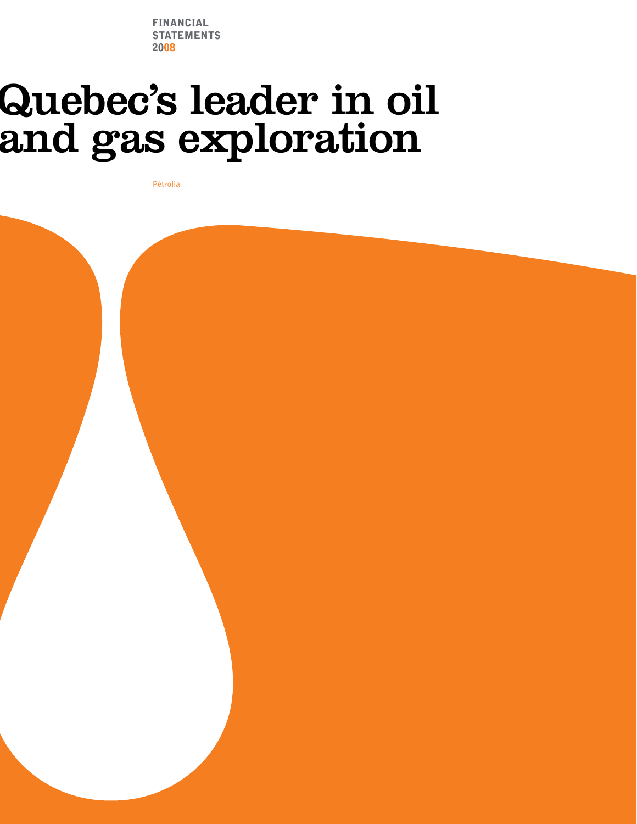financial **STATEMENTS** 2008

# Quebec's leader in oil<br>and gas exploration

Pétrolia

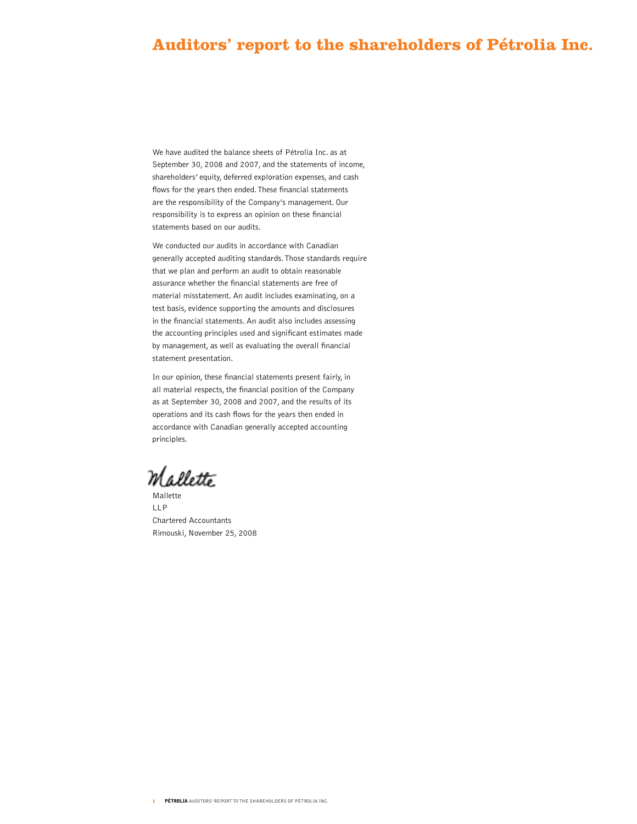## **Auditors' report to the shareholders of Pétrolia Inc.**

We have audited the balance sheets of Pétrolia Inc. as at September 30, 2008 and 2007, and the statements of income, shareholders' equity, deferred exploration expenses, and cash flows for the years then ended. These financial statements are the responsibility of the Company's management. Our responsibility is to express an opinion on these financial statements based on our audits.

We conducted our audits in accordance with Canadian generally accepted auditing standards. Those standards require that we plan and perform an audit to obtain reasonable assurance whether the financial statements are free of material misstatement. An audit includes examinating, on a test basis, evidence supporting the amounts and disclosures in the financial statements. An audit also includes assessing the accounting principles used and significant estimates made by management, as well as evaluating the overall financial statement presentation.

In our opinion, these financial statements present fairly, in all material respects, the financial position of the Company as at September 30, 2008 and 2007, and the results of its operations and its cash flows for the years then ended in accordance with Canadian generally accepted accounting principles.

Mallette Mallette

LLP Chartered Accountants Rimouski, November 25, 2008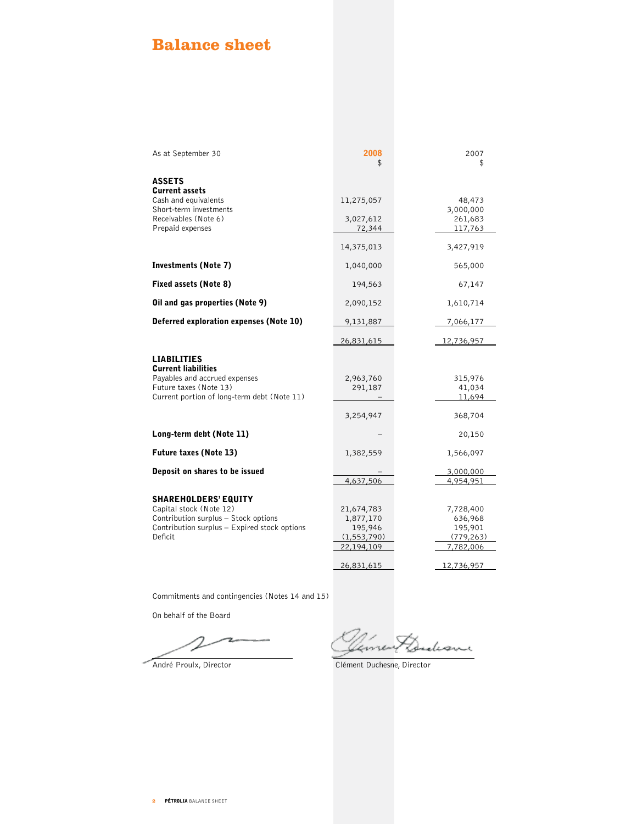# **Balance sheet**

| As at September 30                                                    | 2008<br>\$               | 2007<br>\$            |
|-----------------------------------------------------------------------|--------------------------|-----------------------|
| <b>ASSETS</b>                                                         |                          |                       |
| <b>Current assets</b>                                                 |                          |                       |
| Cash and equivalents<br>Short-term investments                        | 11,275,057               | 48,473<br>3,000,000   |
| Receivables (Note 6)                                                  | 3,027,612                | 261,683               |
| Prepaid expenses                                                      | 72,344                   | 117,763               |
|                                                                       | 14,375,013               | 3,427,919             |
| <b>Investments (Note 7)</b>                                           | 1,040,000                | 565,000               |
| <b>Fixed assets (Note 8)</b>                                          | 194,563                  | 67,147                |
| Oil and gas properties (Note 9)                                       | 2,090,152                | 1,610,714             |
| Deferred exploration expenses (Note 10)                               | 9,131,887                | 7,066,177             |
|                                                                       | 26,831,615               | 12,736,957            |
| <b>LIABILITIES</b><br><b>Current liabilities</b>                      |                          |                       |
| Payables and accrued expenses                                         | 2,963,760                | 315,976               |
| Future taxes (Note 13)<br>Current portion of long-term debt (Note 11) | 291,187                  | 41,034<br>11,694      |
|                                                                       |                          |                       |
|                                                                       | 3,254,947                | 368,704               |
| Long-term debt (Note 11)                                              |                          | 20,150                |
| <b>Future taxes (Note 13)</b>                                         | 1,382,559                | 1,566,097             |
| Deposit on shares to be issued                                        |                          | 3,000,000             |
|                                                                       | 4,637,506                | 4,954,951             |
| <b>SHAREHOLDERS' EQUITY</b>                                           |                          |                       |
| Capital stock (Note 12)                                               | 21,674,783               | 7,728,400             |
| Contribution surplus - Stock options                                  | 1,877,170                | 636,968               |
| Contribution surplus - Expired stock options<br>Deficit               | 195,946<br>(1, 553, 790) | 195,901<br>(779, 263) |
|                                                                       | 22,194,109               | 7,782,006             |
|                                                                       | 26,831,615               | 12,736,957            |

Commitments and contingencies (Notes 14 and 15)

On behalf of the Board

∠

desne Eme

André Proulx, Director Clément Duchesne, Director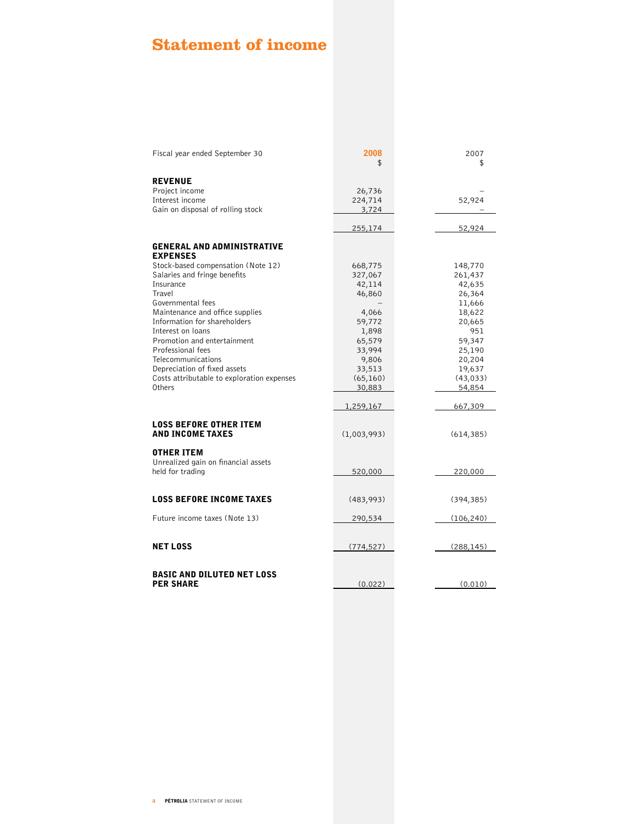# **Statement of income**

| Fiscal year ended September 30                                                                                                                                                                                                                                                                                                                                           | 2008<br>\$                                                                                                                                    | 2007<br>\$                                                                                                                                            |
|--------------------------------------------------------------------------------------------------------------------------------------------------------------------------------------------------------------------------------------------------------------------------------------------------------------------------------------------------------------------------|-----------------------------------------------------------------------------------------------------------------------------------------------|-------------------------------------------------------------------------------------------------------------------------------------------------------|
| <b>REVENUE</b><br>Project income<br>Interest income<br>Gain on disposal of rolling stock                                                                                                                                                                                                                                                                                 | 26,736<br>224,714<br>3,724                                                                                                                    | 52,924                                                                                                                                                |
| <b>GENERAL AND ADMINISTRATIVE</b><br><b>EXPENSES</b>                                                                                                                                                                                                                                                                                                                     | 255,174                                                                                                                                       | 52,924                                                                                                                                                |
| Stock-based compensation (Note 12)<br>Salaries and fringe benefits<br>Insurance<br>Travel<br>Governmental fees<br>Maintenance and office supplies<br>Information for shareholders<br>Interest on loans<br>Promotion and entertainment<br>Professional fees<br>Telecommunications<br>Depreciation of fixed assets<br>Costs attributable to exploration expenses<br>Others | 668,775<br>327,067<br>42,114<br>46,860<br>4,066<br>59,772<br>1,898<br>65,579<br>33,994<br>9,806<br>33,513<br>(65, 160)<br>30,883<br>1,259,167 | 148,770<br>261,437<br>42,635<br>26,364<br>11,666<br>18,622<br>20,665<br>951<br>59,347<br>25,190<br>20,204<br>19,637<br>(43, 033)<br>54,854<br>667,309 |
| <b>LOSS BEFORE OTHER ITEM</b><br><b>AND INCOME TAXES</b>                                                                                                                                                                                                                                                                                                                 | (1,003,993)                                                                                                                                   | (614, 385)                                                                                                                                            |
| <b>OTHER ITEM</b><br>Unrealized gain on financial assets<br>held for trading                                                                                                                                                                                                                                                                                             | 520,000                                                                                                                                       | 220,000                                                                                                                                               |
| <b>LOSS BEFORE INCOME TAXES</b>                                                                                                                                                                                                                                                                                                                                          | (483,993)                                                                                                                                     | (394, 385)                                                                                                                                            |
| Future income taxes (Note 13)                                                                                                                                                                                                                                                                                                                                            | 290,534                                                                                                                                       | (106, 240)                                                                                                                                            |
| <b>NET LOSS</b>                                                                                                                                                                                                                                                                                                                                                          | (774, 527)                                                                                                                                    | (288, 145)                                                                                                                                            |
| <b>BASIC AND DILUTED NET LOSS</b><br><b>PER SHARE</b>                                                                                                                                                                                                                                                                                                                    | (0.022)                                                                                                                                       | (0.010)                                                                                                                                               |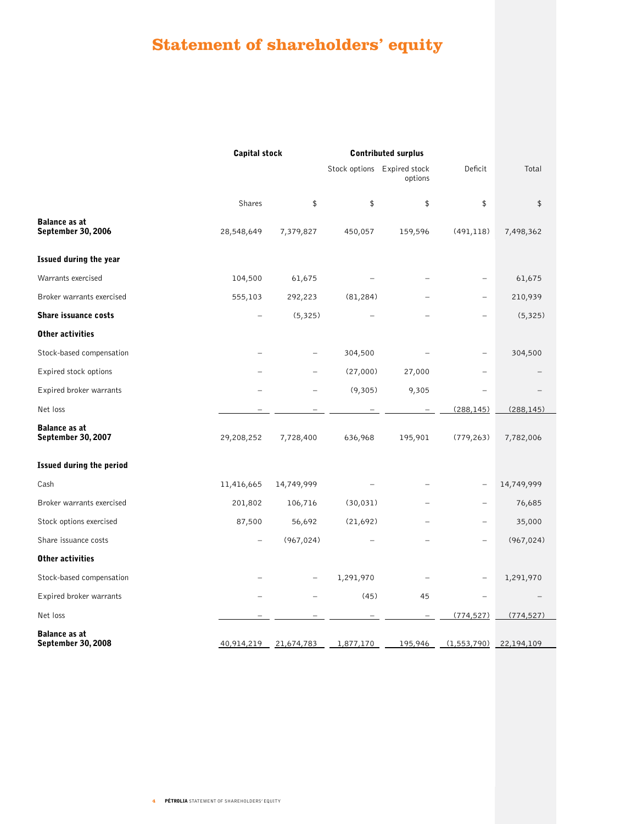# **Statement of shareholders' equity**

|                                            | <b>Capital stock</b>     |            |           | <b>Contributed surplus</b>             |                          |            |
|--------------------------------------------|--------------------------|------------|-----------|----------------------------------------|--------------------------|------------|
|                                            |                          |            |           | Stock options Expired stock<br>options | Deficit                  | Total      |
|                                            | Shares                   | \$         | \$        | \$                                     | \$                       | \$         |
| Balance as at<br>September 30, 2006        | 28,548,649               | 7,379,827  | 450,057   | 159,596                                | (491, 118)               | 7,498,362  |
| <b>Issued during the year</b>              |                          |            |           |                                        |                          |            |
| Warrants exercised                         | 104,500                  | 61,675     |           |                                        | $\overline{\phantom{0}}$ | 61,675     |
| Broker warrants exercised                  | 555,103                  | 292,223    | (81, 284) |                                        | -                        | 210,939    |
| Share issuance costs                       | $\overline{\phantom{0}}$ | (5, 325)   |           |                                        | $\overline{\phantom{0}}$ | (5, 325)   |
| <b>Other activities</b>                    |                          |            |           |                                        |                          |            |
| Stock-based compensation                   |                          |            | 304,500   |                                        | $\overline{\phantom{0}}$ | 304,500    |
| Expired stock options                      |                          |            | (27,000)  | 27,000                                 |                          |            |
| Expired broker warrants                    |                          |            | (9,305)   | 9,305                                  |                          |            |
| Net loss                                   |                          |            |           |                                        | (288, 145)               | (288, 145) |
| Balance as at<br><b>September 30, 2007</b> | 29,208,252               | 7,728,400  | 636,968   | 195,901                                | (779, 263)               | 7,782,006  |
| <b>Issued during the period</b>            |                          |            |           |                                        |                          |            |
| Cash                                       | 11,416,665               | 14,749,999 |           |                                        |                          | 14,749,999 |
| Broker warrants exercised                  | 201,802                  | 106,716    | (30, 031) |                                        | $\overline{\phantom{0}}$ | 76,685     |
| Stock options exercised                    | 87,500                   | 56,692     | (21,692)  |                                        |                          | 35,000     |
| Share issuance costs                       |                          | (967, 024) |           |                                        |                          | (967, 024) |
| Other activities                           |                          |            |           |                                        |                          |            |
| Stock-based compensation                   |                          |            | 1,291,970 |                                        |                          | 1,291,970  |
| Expired broker warrants                    |                          |            | (45)      | 45                                     |                          |            |
| Net loss                                   |                          |            |           |                                        | (774, 527)               | (774, 527) |
| Balance as at<br><b>September 30, 2008</b> | 40,914,219               | 21,674,783 | 1,877,170 | 195,946                                | (1,553,790)              | 22,194,109 |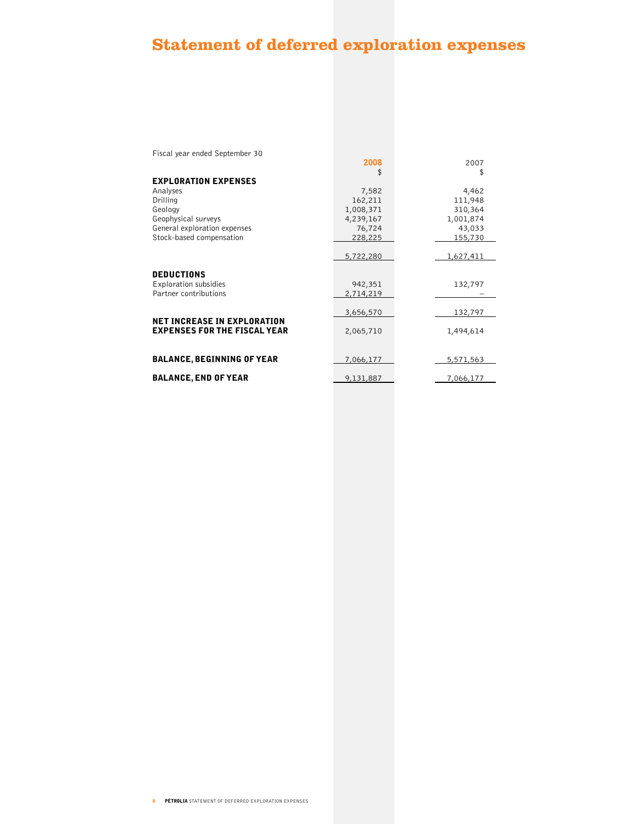# **Statement of deferred exploration expenses**

| Fiscal year ended September 30                                            |           |           |
|---------------------------------------------------------------------------|-----------|-----------|
|                                                                           | 2008      | 2007      |
|                                                                           | \$        | \$        |
| <b>EXPLORATION EXPENSES</b>                                               |           |           |
| Analyses                                                                  | 7,582     | 4,462     |
| Drilling                                                                  | 162,211   | 111,948   |
| Geology                                                                   | 1,008,371 | 310,364   |
| Geophysical surveys                                                       | 4,239,167 | 1,001,874 |
| General exploration expenses                                              | 76,724    | 43,033    |
| Stock-based compensation                                                  | 228,225   | 155,730   |
|                                                                           |           |           |
|                                                                           | 5,722,280 | 1,627,411 |
| <b>DEDUCTIONS</b>                                                         |           |           |
|                                                                           |           |           |
| Exploration subsidies<br>Partner contributions                            | 942,351   | 132,797   |
|                                                                           | 2,714,219 |           |
|                                                                           | 3,656,570 | 132,797   |
| <b>NET INCREASE IN EXPLORATION</b><br><b>EXPENSES FOR THE FISCAL YEAR</b> | 2,065,710 | 1,494,614 |
| <b>BALANCE, BEGINNING OF YEAR</b>                                         | 7,066,177 | 5,571,563 |
|                                                                           |           |           |
| <b>BALANCE, END OF YEAR</b>                                               | 9,131,887 | 7,066,177 |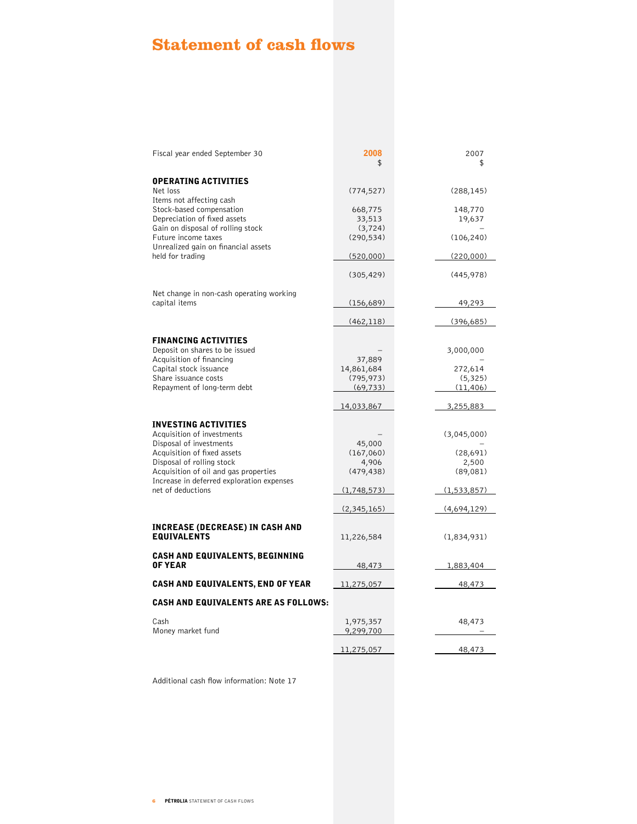# **Statement of cash flows**

| Fiscal year ended September 30                                                                                            | 2008<br>\$                    | 2007<br>\$        |
|---------------------------------------------------------------------------------------------------------------------------|-------------------------------|-------------------|
| <b>OPERATING ACTIVITIES</b><br>Net loss                                                                                   | (774, 527)                    | (288, 145)        |
| Items not affecting cash<br>Stock-based compensation<br>Depreciation of fixed assets<br>Gain on disposal of rolling stock | 668,775<br>33,513<br>(3, 724) | 148,770<br>19,637 |
| Future income taxes<br>Unrealized gain on financial assets                                                                | (290, 534)                    | (106, 240)        |
| held for trading                                                                                                          | (520,000)                     | (220,000)         |
|                                                                                                                           | (305, 429)                    | (445, 978)        |
| Net change in non-cash operating working<br>capital items                                                                 | (156, 689)                    | 49,293            |
|                                                                                                                           | (462, 118)                    | (396, 685)        |
| <b>FINANCING ACTIVITIES</b><br>Deposit on shares to be issued<br>Acquisition of financing                                 |                               | 3,000,000         |
| Capital stock issuance                                                                                                    | 37,889<br>14,861,684          | 272,614           |
| Share issuance costs                                                                                                      | (795, 973)                    | (5,325)           |
| Repayment of long-term debt                                                                                               | (69, 733)                     | (11, 406)         |
|                                                                                                                           | 14,033,867                    | 3,255,883         |
| INVESTING ACTIVITIES                                                                                                      |                               |                   |
| Acquisition of investments                                                                                                |                               | (3,045,000)       |
| Disposal of investments                                                                                                   | 45,000                        |                   |
| Acquisition of fixed assets<br>Disposal of rolling stock                                                                  | (167,060)<br>4,906            | (28,691)<br>2,500 |
| Acquisition of oil and gas properties                                                                                     | (479, 438)                    | (89,081)          |
| Increase in deferred exploration expenses                                                                                 |                               |                   |
| net of deductions                                                                                                         | (1,748,573)                   | (1,533,857)       |
|                                                                                                                           | (2,345,165)                   | (4,694,129)       |
| <b>INCREASE (DECREASE) IN CASH AND</b><br><b>EQUIVALENTS</b>                                                              | 11,226,584                    | (1,834,931)       |
| <b>CASH AND EQUIVALENTS, BEGINNING</b><br><b>OF YEAR</b>                                                                  | <u>48,473</u>                 | 1,883,404         |
| <b>CASH AND EQUIVALENTS, END OF YEAR</b>                                                                                  | 11,275,057                    | 48,473            |
| <b>CASH AND EQUIVALENTS ARE AS FOLLOWS:</b>                                                                               |                               |                   |
|                                                                                                                           |                               |                   |
| Cash<br>Money market fund                                                                                                 | 1,975,357<br>9,299,700        | 48,473            |
|                                                                                                                           | 11,275,057                    | 48,473            |

Additional cash flow information: Note 17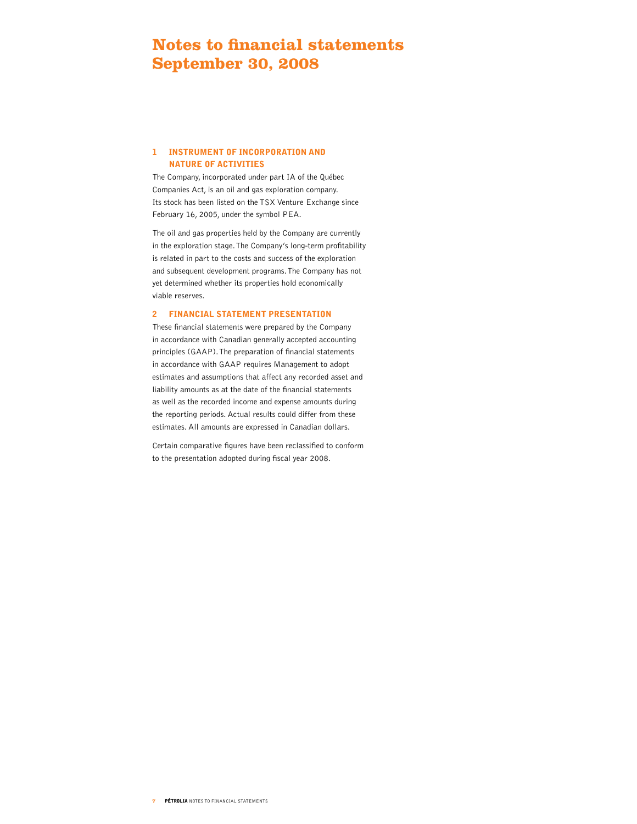# **Notes to financial statements September 30, 2008**

#### 1 INSTRUMENT OF INCORPORATION AND NATURE OF ACTIVITIES

The Company, incorporated under part IA of the Québec Companies Act, is an oil and gas exploration company. Its stock has been listed on the TSX Venture Exchange since February 16, 2005, under the symbol PEA.

The oil and gas properties held by the Company are currently in the exploration stage. The Company's long-term profitability is related in part to the costs and success of the exploration and subsequent development programs. The Company has not yet determined whether its properties hold economically viable reserves.

#### 2 FINANCIAL STATEMENT PRESENTATION

These financial statements were prepared by the Company in accordance with Canadian generally accepted accounting principles (GAAP). The preparation of financial statements in accordance with GAAP requires Management to adopt estimates and assumptions that affect any recorded asset and liability amounts as at the date of the financial statements as well as the recorded income and expense amounts during the reporting periods. Actual results could differ from these estimates. All amounts are expressed in Canadian dollars.

Certain comparative figures have been reclassified to conform to the presentation adopted during fiscal year 2008.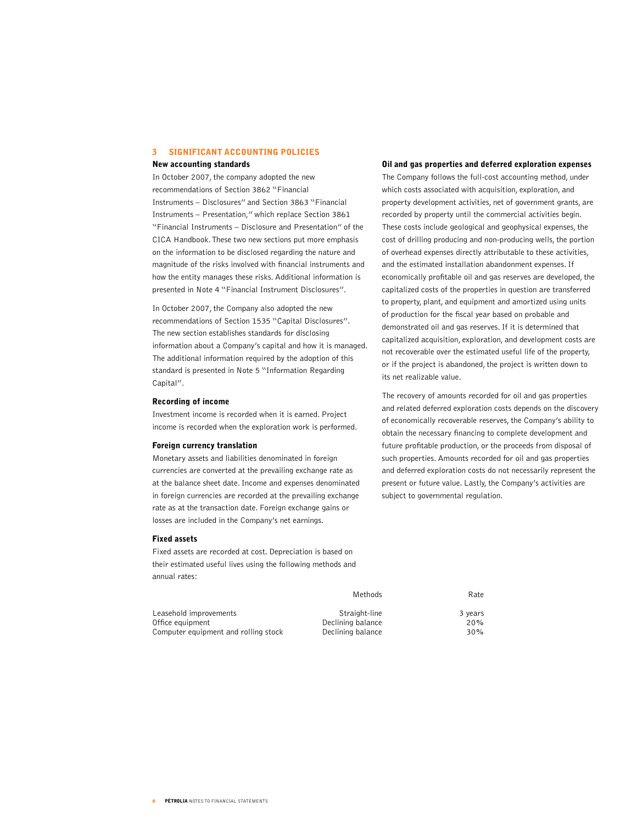#### 3 SIGNIFICANT ACCOUNTING POLICIES

#### New accounting standards

In October 2007, the company adopted the new recommendations of Section 3862 "Financial Instruments – Disclosures" and Section 3863 "Financial Instruments – Presentation," which replace Section 3861 "Financial Instruments – Disclosure and Presentation" of the CICA Handbook. These two new sections put more emphasis on the information to be disclosed regarding the nature and magnitude of the risks involved with financial instruments and how the entity manages these risks. Additional information is presented in Note 4 "Financial Instrument Disclosures".

In October 2007, the Company also adopted the new recommendations of Section 1535 "Capital Disclosures". The new section establishes standards for disclosing information about a Company's capital and how it is managed. The additional information required by the adoption of this standard is presented in Note 5 "Information Regarding Capital".

#### Recording of income

Investment income is recorded when it is earned. Project income is recorded when the exploration work is performed.

#### Foreign currency translation

Monetary assets and liabilities denominated in foreign currencies are converted at the prevailing exchange rate as at the balance sheet date. Income and expenses denominated in foreign currencies are recorded at the prevailing exchange rate as at the transaction date. Foreign exchange gains or losses are included in the Company's net earnings.

#### Fixed assets

Fixed assets are recorded at cost. Depreciation is based on their estimated useful lives using the following methods and annual rates:

Leasehold improvements and the Straight-line straight-line 3 years<br>Office equipment 20% 20% Office equipment<br>
Computer equipment and rolling stock<br>
20% Declining balance<br>
20% Declining balance Computer equipment and rolling stock

Oil and gas properties and deferred exploration expenses

The Company follows the full-cost accounting method, under which costs associated with acquisition, exploration, and property development activities, net of government grants, are recorded by property until the commercial activities begin. These costs include geological and geophysical expenses, the cost of drilling producing and non-producing wells, the portion of overhead expenses directly attributable to these activities, and the estimated installation abandonment expenses. If economically profitable oil and gas reserves are developed, the capitalized costs of the properties in question are transferred to property, plant, and equipment and amortized using units of production for the fiscal year based on probable and demonstrated oil and gas reserves. If it is determined that capitalized acquisition, exploration, and development costs are not recoverable over the estimated useful life of the property, or if the project is abandoned, the project is written down to its net realizable value.

The recovery of amounts recorded for oil and gas properties and related deferred exploration costs depends on the discovery of economically recoverable reserves, the Company's ability to obtain the necessary financing to complete development and future profitable production, or the proceeds from disposal of such properties. Amounts recorded for oil and gas properties and deferred exploration costs do not necessarily represent the present or future value. Lastly, the Company's activities are subject to governmental regulation.

Methods Rate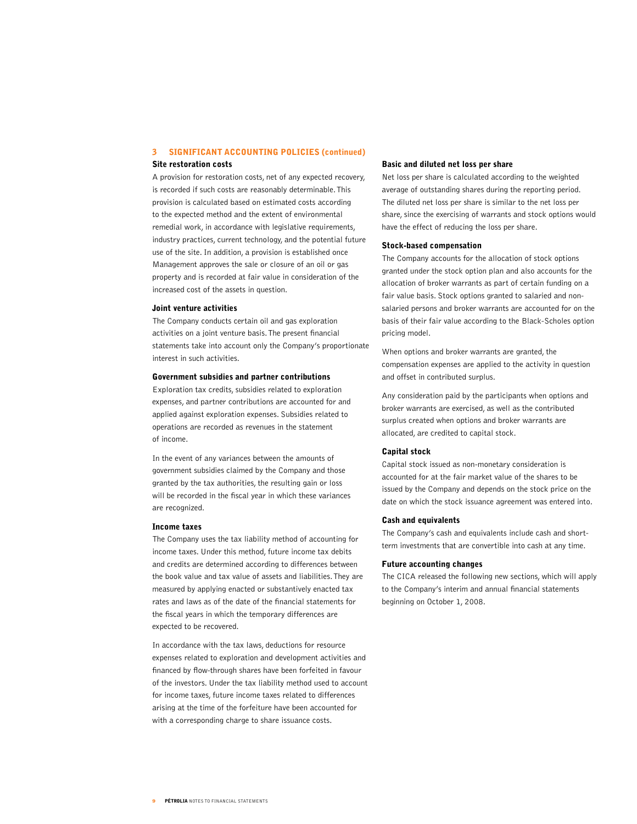#### 3 SIGNIFICANT ACCOUNTING POLICIES (continued)

#### Site restoration costs

A provision for restoration costs, net of any expected recovery, is recorded if such costs are reasonably determinable. This provision is calculated based on estimated costs according to the expected method and the extent of environmental remedial work, in accordance with legislative requirements, industry practices, current technology, and the potential future use of the site. In addition, a provision is established once Management approves the sale or closure of an oil or gas property and is recorded at fair value in consideration of the increased cost of the assets in question.

#### Joint venture activities

The Company conducts certain oil and gas exploration activities on a joint venture basis. The present financial statements take into account only the Company's proportionate interest in such activities.

#### Government subsidies and partner contributions

Exploration tax credits, subsidies related to exploration expenses, and partner contributions are accounted for and applied against exploration expenses. Subsidies related to operations are recorded as revenues in the statement of income.

In the event of any variances between the amounts of government subsidies claimed by the Company and those granted by the tax authorities, the resulting gain or loss will be recorded in the fiscal year in which these variances are recognized.

#### Income taxes

The Company uses the tax liability method of accounting for income taxes. Under this method, future income tax debits and credits are determined according to differences between the book value and tax value of assets and liabilities. They are measured by applying enacted or substantively enacted tax rates and laws as of the date of the financial statements for the fiscal years in which the temporary differences are expected to be recovered.

In accordance with the tax laws, deductions for resource expenses related to exploration and development activities and financed by flow-through shares have been forfeited in favour of the investors. Under the tax liability method used to account for income taxes, future income taxes related to differences arising at the time of the forfeiture have been accounted for with a corresponding charge to share issuance costs.

#### Basic and diluted net loss per share

Net loss per share is calculated according to the weighted average of outstanding shares during the reporting period. The diluted net loss per share is similar to the net loss per share, since the exercising of warrants and stock options would have the effect of reducing the loss per share.

#### Stock-based compensation

The Company accounts for the allocation of stock options granted under the stock option plan and also accounts for the allocation of broker warrants as part of certain funding on a fair value basis. Stock options granted to salaried and nonsalaried persons and broker warrants are accounted for on the basis of their fair value according to the Black-Scholes option pricing model.

When options and broker warrants are granted, the compensation expenses are applied to the activity in question and offset in contributed surplus.

Any consideration paid by the participants when options and broker warrants are exercised, as well as the contributed surplus created when options and broker warrants are allocated, are credited to capital stock.

#### Capital stock

Capital stock issued as non-monetary consideration is accounted for at the fair market value of the shares to be issued by the Company and depends on the stock price on the date on which the stock issuance agreement was entered into.

#### Cash and equivalents

The Company's cash and equivalents include cash and shortterm investments that are convertible into cash at any time.

#### Future accounting changes

The CICA released the following new sections, which will apply to the Company's interim and annual financial statements beginning on October 1, 2008.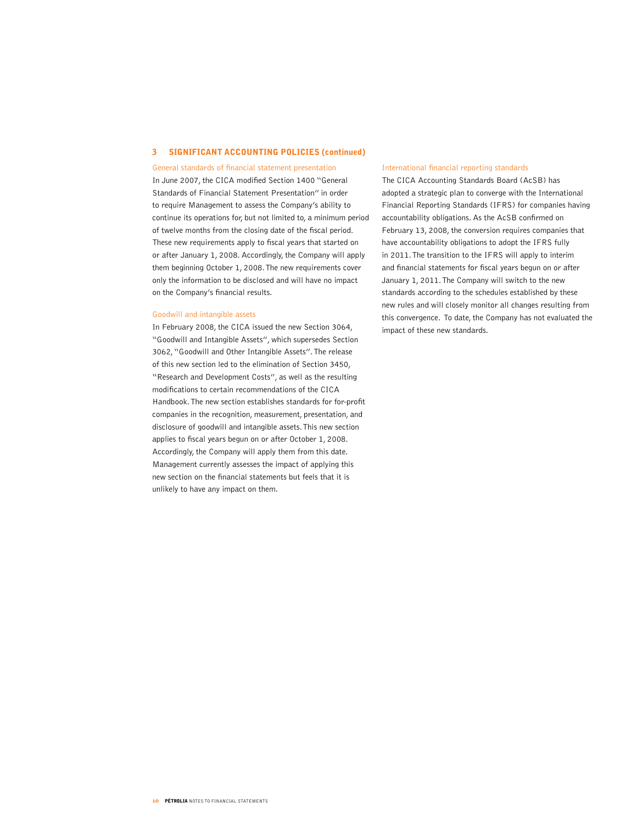#### 3 SIGNIFICANT ACCOUNTING POLICIES (continued)

General standards of financial statement presentation In June 2007, the CICA modified Section 1400 "General Standards of Financial Statement Presentation" in order to require Management to assess the Company's ability to continue its operations for, but not limited to, a minimum period of twelve months from the closing date of the fiscal period. These new requirements apply to fiscal years that started on or after January 1, 2008. Accordingly, the Company will apply

them beginning October 1, 2008. The new requirements cover only the information to be disclosed and will have no impact on the Company's financial results.

#### Goodwill and intangible assets

In February 2008, the CICA issued the new Section 3064, "Goodwill and Intangible Assets", which supersedes Section 3062, "Goodwill and Other Intangible Assets". The release of this new section led to the elimination of Section 3450, "Research and Development Costs", as well as the resulting modifications to certain recommendations of the CICA Handbook. The new section establishes standards for for-profit companies in the recognition, measurement, presentation, and disclosure of goodwill and intangible assets. This new section applies to fiscal years begun on or after October 1, 2008. Accordingly, the Company will apply them from this date. Management currently assesses the impact of applying this new section on the financial statements but feels that it is unlikely to have any impact on them.

#### International financial reporting standards

The CICA Accounting Standards Board (AcSB) has adopted a strategic plan to converge with the International Financial Reporting Standards (IFRS) for companies having accountability obligations. As the AcSB confirmed on February 13, 2008, the conversion requires companies that have accountability obligations to adopt the IFRS fully in 2011. The transition to the IFRS will apply to interim and financial statements for fiscal years begun on or after January 1, 2011. The Company will switch to the new standards according to the schedules established by these new rules and will closely monitor all changes resulting from this convergence. To date, the Company has not evaluated the impact of these new standards.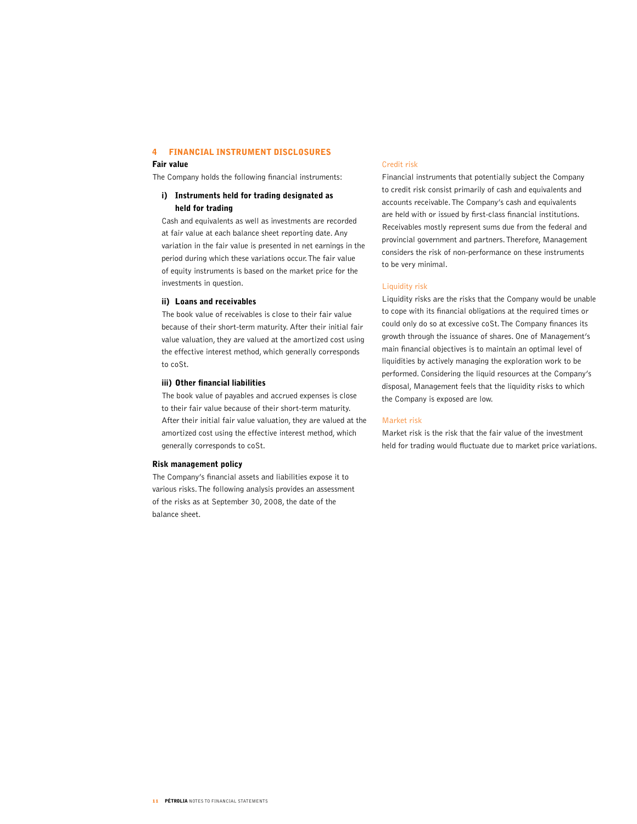#### 4 FINANCIAL INSTRUMENT DISCLOSURES

#### Fair value

The Company holds the following financial instruments:

#### i) Instruments held for trading designated as held for trading

Cash and equivalents as well as investments are recorded at fair value at each balance sheet reporting date. Any variation in the fair value is presented in net earnings in the period during which these variations occur. The fair value of equity instruments is based on the market price for the investments in question.

#### ii) Loans and receivables

The book value of receivables is close to their fair value because of their short-term maturity. After their initial fair value valuation, they are valued at the amortized cost using the effective interest method, which generally corresponds to coSt.

#### iii) Other financial liabilities

The book value of payables and accrued expenses is close to their fair value because of their short-term maturity. After their initial fair value valuation, they are valued at the amortized cost using the effective interest method, which generally corresponds to coSt.

#### Risk management policy

The Company's financial assets and liabilities expose it to various risks. The following analysis provides an assessment of the risks as at September 30, 2008, the date of the balance sheet.

#### Credit risk

Financial instruments that potentially subject the Company to credit risk consist primarily of cash and equivalents and accounts receivable. The Company's cash and equivalents are held with or issued by first-class financial institutions. Receivables mostly represent sums due from the federal and provincial government and partners. Therefore, Management considers the risk of non-performance on these instruments to be very minimal.

#### Liquidity risk

Liquidity risks are the risks that the Company would be unable to cope with its financial obligations at the required times or could only do so at excessive coSt. The Company finances its growth through the issuance of shares. One of Management's main financial objectives is to maintain an optimal level of liquidities by actively managing the exploration work to be performed. Considering the liquid resources at the Company's disposal, Management feels that the liquidity risks to which the Company is exposed are low.

#### Market risk

Market risk is the risk that the fair value of the investment held for trading would fluctuate due to market price variations.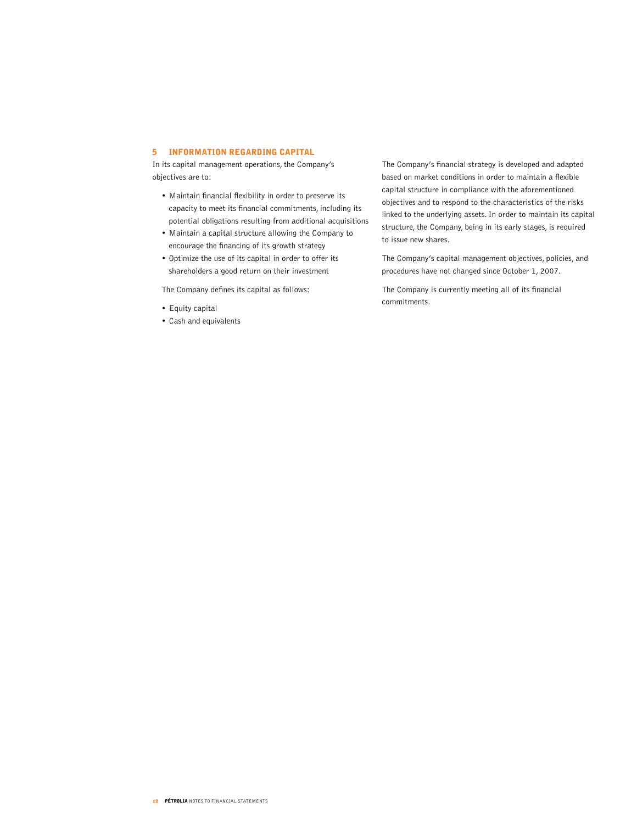#### 5 INFORMATION REGARDING CAPITAL

In its capital management operations, the Company's objectives are to:

- • Maintain financial flexibility in order to preserve its capacity to meet its financial commitments, including its potential obligations resulting from additional acquisitions
- • Maintain a capital structure allowing the Company to encourage the financing of its growth strategy
- • Optimize the use of its capital in order to offer its shareholders a good return on their investment

The Company defines its capital as follows:

- • Equity capital
- • Cash and equivalents

The Company's financial strategy is developed and adapted based on market conditions in order to maintain a flexible capital structure in compliance with the aforementioned objectives and to respond to the characteristics of the risks linked to the underlying assets. In order to maintain its capital structure, the Company, being in its early stages, is required to issue new shares.

The Company's capital management objectives, policies, and procedures have not changed since October 1, 2007.

The Company is currently meeting all of its financial commitments.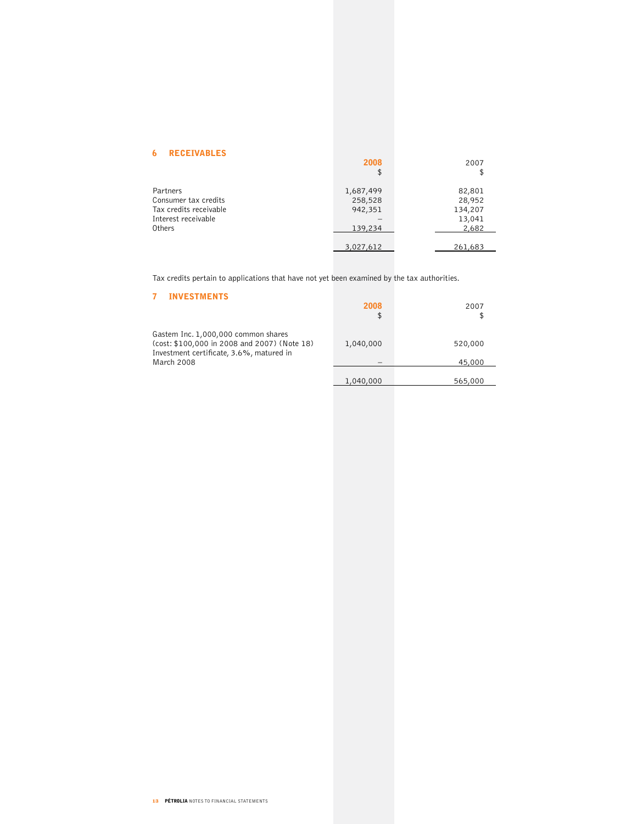#### 6 RECEIVABLES

|                        | 2008<br>\$ | 2007    |
|------------------------|------------|---------|
| Partners               | 1,687,499  | 82,801  |
| Consumer tax credits   | 258,528    | 28,952  |
| Tax credits receivable | 942,351    | 134,207 |
| Interest receivable    |            | 13,041  |
| Others                 | 139,234    | 2,682   |
|                        |            |         |
|                        | 3,027,612  | 261,683 |

Tax credits pertain to applications that have not yet been examined by the tax authorities.

## 7 INVESTMENTS

|                                                                                                                                 | 2008<br>\$ | 2007    |
|---------------------------------------------------------------------------------------------------------------------------------|------------|---------|
| Gastem Inc. 1,000,000 common shares<br>(cost: \$100,000 in 2008 and 2007) (Note 18)<br>Investment certificate, 3.6%, matured in | 1,040,000  | 520,000 |
| March 2008                                                                                                                      |            | 45,000  |
|                                                                                                                                 | 1,040,000  | 565,000 |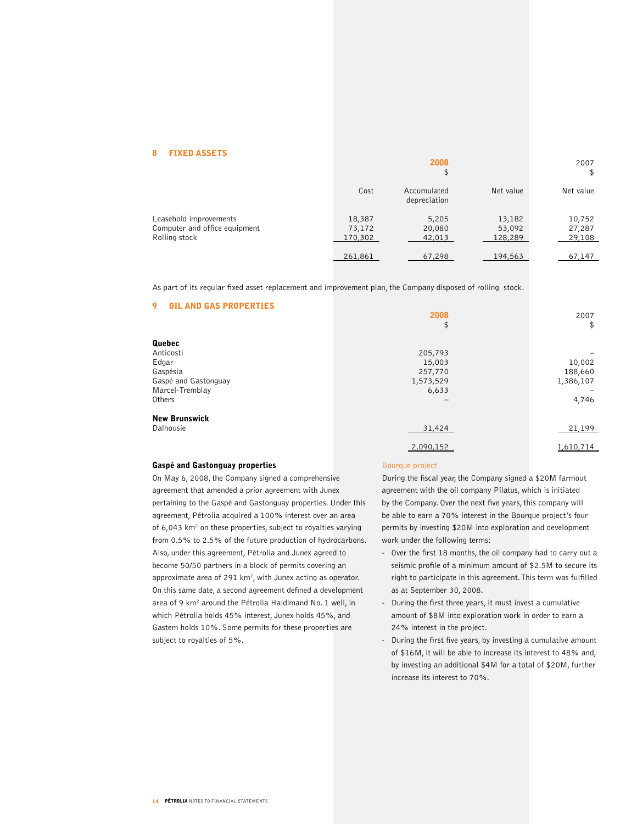#### 8 FIXED ASSETS

|                                                                          |                             | 2008<br>\$                  |                             | 2007<br>\$                 |
|--------------------------------------------------------------------------|-----------------------------|-----------------------------|-----------------------------|----------------------------|
|                                                                          | Cost                        | Accumulated<br>depreciation | Net value                   | Net value                  |
| Leasehold improvements<br>Computer and office equipment<br>Rolling stock | 18,387<br>73,172<br>170,302 | 5,205<br>20,080<br>42,013   | 13,182<br>53,092<br>128,289 | 10,752<br>27,287<br>29,108 |
|                                                                          | 261,861                     | 67,298                      | 194,563                     | 67,147                     |

As part of its regular fixed asset replacement and improvement plan, the Company disposed of rolling stock.

| 9<br><b>OIL AND GAS PROPERTIES</b> | 2008<br>\$ | 2007<br>\$ |
|------------------------------------|------------|------------|
| Quebec                             |            |            |
| Anticosti                          | 205,793    |            |
| Edgar                              | 15,003     | 10,002     |
| Gaspésia                           | 257,770    | 188,660    |
| Gaspé and Gastonguay               | 1,573,529  | 1,386,107  |
| Marcel-Tremblay                    | 6,633      |            |
| Others                             |            | 4,746      |
| <b>New Brunswick</b>               |            |            |
| Dalhousie                          | 31,424     | 21,199     |
|                                    | 2,090,152  | 1,610,714  |

#### Gaspé and Gastonguay properties

On May 6, 2008, the Company signed a comprehensive agreement that amended a prior agreement with Junex pertaining to the Gaspé and Gastonguay properties. Under this agreement, Pétrolia acquired a 100% interest over an area of 6,043 km<sup>2</sup> on these properties, subject to royalties varying from 0.5% to 2.5% of the future production of hydrocarbons. Also, under this agreement, Pétrolia and Junex agreed to become 50/50 partners in a block of permits covering an approximate area of 291  $km^2$ , with Junex acting as operator. On this same date, a second agreement defined a development area of 9 km<sup>2</sup> around the Pétrolia Haldimand No. 1 well, in which Pétrolia holds 45% interest, Junex holds 45%, and Gastem holds 10%. Some permits for these properties are subject to royalties of 5%.

#### Bourque project

During the fiscal year, the Company signed a \$20M farmout agreement with the oil company Pilatus, which is initiated by the Company. Over the next five years, this company will be able to earn a 70% interest in the Bourque project's four permits by investing \$20M into exploration and development work under the following terms:

- Over the first 18 months, the oil company had to carry out a seismic profile of a minimum amount of \$2.5M to secure its right to participate in this agreement. This term was fulfilled as at September 30, 2008.
- During the first three years, it must invest a cumulative amount of \$8M into exploration work in order to earn a 24% interest in the project.
- During the first five years, by investing a cumulative amount of \$16M, it will be able to increase its interest to 48% and, by investing an additional \$4M for a total of \$20M, further increase its interest to 70%.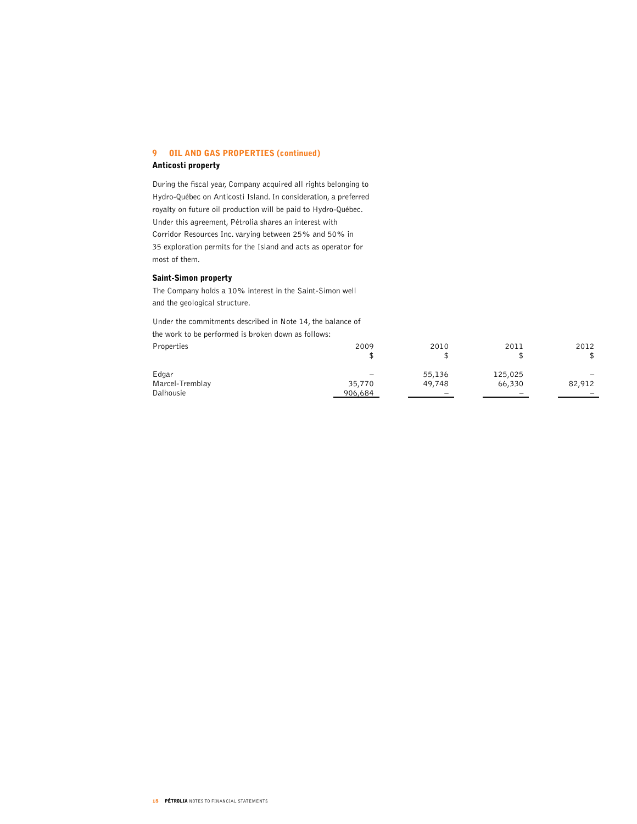## 9 OIL AND GAS PROPERTIES (continued)

#### Anticosti property

During the fiscal year, Company acquired all rights belonging to Hydro-Québec on Anticosti Island. In consideration, a preferred royalty on future oil production will be paid to Hydro-Québec. Under this agreement, Pétrolia shares an interest with Corridor Resources Inc. varying between 25% and 50% in 35 exploration permits for the Island and acts as operator for most of them.

#### Saint-Simon property

The Company holds a 10% interest in the Saint-Simon well and the geological structure.

Under the commitments described in Note 14, the balance of the work to be performed is broken down as follows: Properties 2009 2010 2011 2012  $\updownarrow$  \$ \$ \$ Edgar – 55,136 125,025 – Marcel-Tremblay 35,770 49,748 66,330 82,912 Dalhousie 906,684 – – –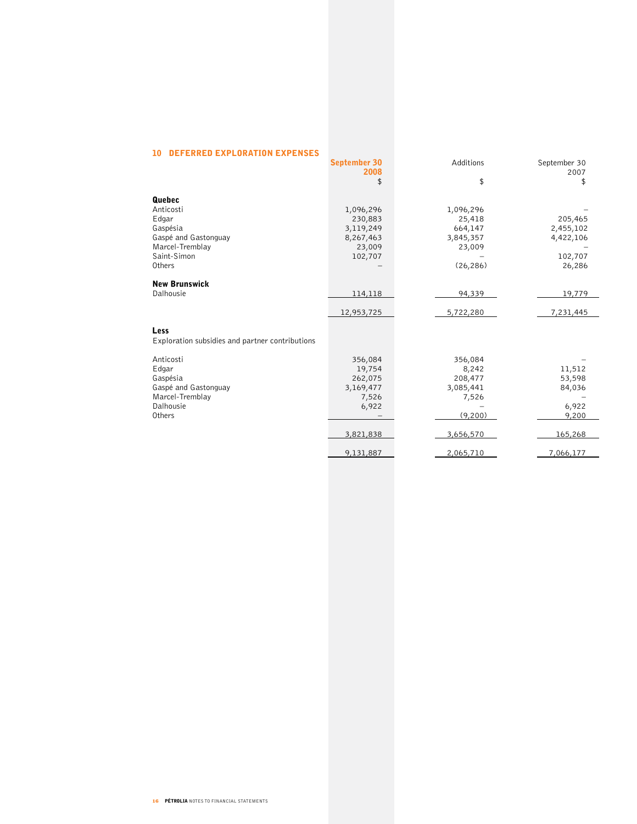| 10<br><b>DEFERRED EXPLORATION EXPENSES</b>      |                     |           |              |
|-------------------------------------------------|---------------------|-----------|--------------|
|                                                 | <b>September 30</b> | Additions | September 30 |
|                                                 | 2008                |           | 2007         |
|                                                 | \$                  | \$        | \$           |
|                                                 |                     |           |              |
| <b>Quebec</b>                                   |                     |           |              |
| Anticosti                                       | 1,096,296           | 1,096,296 |              |
| Edgar                                           | 230,883             | 25,418    | 205,465      |
| Gaspésia                                        | 3,119,249           | 664,147   | 2,455,102    |
| Gaspé and Gastonguay                            | 8,267,463           | 3,845,357 | 4,422,106    |
| Marcel-Tremblay                                 | 23,009              | 23,009    |              |
| Saint-Simon                                     | 102,707             |           | 102,707      |
| Others                                          |                     | (26, 286) | 26,286       |
| <b>New Brunswick</b>                            |                     |           |              |
| Dalhousie                                       | 114,118             | 94,339    |              |
|                                                 |                     |           | 19,779       |
|                                                 | 12,953,725          | 5,722,280 | 7,231,445    |
|                                                 |                     |           |              |
| Less                                            |                     |           |              |
| Exploration subsidies and partner contributions |                     |           |              |
| Anticosti                                       |                     |           |              |
| Edgar                                           | 356,084             | 356,084   |              |
|                                                 | 19,754              | 8,242     | 11,512       |
| Gaspésia                                        | 262,075             | 208,477   | 53,598       |
| Gaspé and Gastonguay                            | 3,169,477           | 3,085,441 | 84,036       |
| Marcel-Tremblay                                 | 7,526               | 7,526     |              |
| Dalhousie                                       | 6,922               |           | 6,922        |
| Others                                          |                     | (9,200)   | 9,200        |
|                                                 | 3,821,838           | 3,656,570 | 165,268      |
|                                                 |                     |           |              |
|                                                 | 9,131,887           | 2,065,710 | 7,066,177    |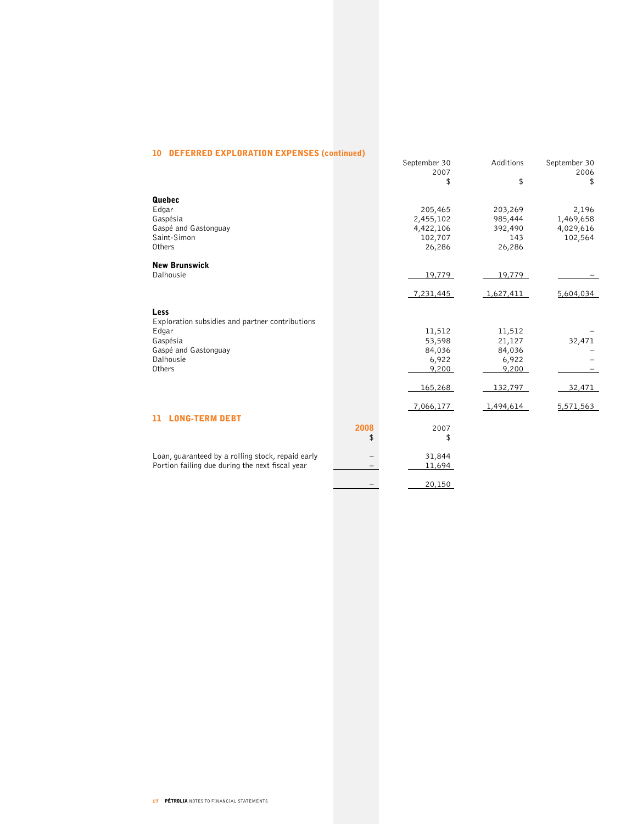# 10 DEFERRED EXPLORATION EXPENSES (continued)

| September 30<br>Additions<br>September 30<br>2007<br>2006<br>\$<br>\$<br>\$<br><b>Quebec</b><br>Edgar<br>205,465<br>203,269<br>2,196<br>Gaspésia<br>2,455,102<br>985,444<br>1,469,658<br>Gaspé and Gastonguay<br>4,422,106<br>392,490<br>4,029,616<br>Saint-Simon<br>102,707<br>143<br>102,564<br>Others<br>26,286<br>26,286<br><b>New Brunswick</b><br>Dalhousie<br>19,779<br>19,779<br>7,231,445<br>1,627,411<br>5,604,034<br>Less<br>Exploration subsidies and partner contributions<br>Edgar<br>11,512<br>11,512<br>53,598<br>Gaspésia<br>21,127<br>32,471<br>Gaspé and Gastonguay<br>84,036<br>84,036<br>Dalhousie<br>6,922<br>6,922<br>Others<br>9,200<br>9,200<br>165,268<br>132,797<br>32,471 |
|-------------------------------------------------------------------------------------------------------------------------------------------------------------------------------------------------------------------------------------------------------------------------------------------------------------------------------------------------------------------------------------------------------------------------------------------------------------------------------------------------------------------------------------------------------------------------------------------------------------------------------------------------------------------------------------------------------|
|                                                                                                                                                                                                                                                                                                                                                                                                                                                                                                                                                                                                                                                                                                       |
|                                                                                                                                                                                                                                                                                                                                                                                                                                                                                                                                                                                                                                                                                                       |
|                                                                                                                                                                                                                                                                                                                                                                                                                                                                                                                                                                                                                                                                                                       |
|                                                                                                                                                                                                                                                                                                                                                                                                                                                                                                                                                                                                                                                                                                       |
|                                                                                                                                                                                                                                                                                                                                                                                                                                                                                                                                                                                                                                                                                                       |
|                                                                                                                                                                                                                                                                                                                                                                                                                                                                                                                                                                                                                                                                                                       |
|                                                                                                                                                                                                                                                                                                                                                                                                                                                                                                                                                                                                                                                                                                       |
|                                                                                                                                                                                                                                                                                                                                                                                                                                                                                                                                                                                                                                                                                                       |
|                                                                                                                                                                                                                                                                                                                                                                                                                                                                                                                                                                                                                                                                                                       |
|                                                                                                                                                                                                                                                                                                                                                                                                                                                                                                                                                                                                                                                                                                       |
|                                                                                                                                                                                                                                                                                                                                                                                                                                                                                                                                                                                                                                                                                                       |
|                                                                                                                                                                                                                                                                                                                                                                                                                                                                                                                                                                                                                                                                                                       |
|                                                                                                                                                                                                                                                                                                                                                                                                                                                                                                                                                                                                                                                                                                       |
|                                                                                                                                                                                                                                                                                                                                                                                                                                                                                                                                                                                                                                                                                                       |
|                                                                                                                                                                                                                                                                                                                                                                                                                                                                                                                                                                                                                                                                                                       |
|                                                                                                                                                                                                                                                                                                                                                                                                                                                                                                                                                                                                                                                                                                       |
|                                                                                                                                                                                                                                                                                                                                                                                                                                                                                                                                                                                                                                                                                                       |
|                                                                                                                                                                                                                                                                                                                                                                                                                                                                                                                                                                                                                                                                                                       |
|                                                                                                                                                                                                                                                                                                                                                                                                                                                                                                                                                                                                                                                                                                       |
|                                                                                                                                                                                                                                                                                                                                                                                                                                                                                                                                                                                                                                                                                                       |
|                                                                                                                                                                                                                                                                                                                                                                                                                                                                                                                                                                                                                                                                                                       |
|                                                                                                                                                                                                                                                                                                                                                                                                                                                                                                                                                                                                                                                                                                       |
|                                                                                                                                                                                                                                                                                                                                                                                                                                                                                                                                                                                                                                                                                                       |
|                                                                                                                                                                                                                                                                                                                                                                                                                                                                                                                                                                                                                                                                                                       |
|                                                                                                                                                                                                                                                                                                                                                                                                                                                                                                                                                                                                                                                                                                       |
|                                                                                                                                                                                                                                                                                                                                                                                                                                                                                                                                                                                                                                                                                                       |
|                                                                                                                                                                                                                                                                                                                                                                                                                                                                                                                                                                                                                                                                                                       |
| 7,066,177<br>1,494,614<br>5,571,563                                                                                                                                                                                                                                                                                                                                                                                                                                                                                                                                                                                                                                                                   |
| <b>LONG-TERM DEBT</b><br>11                                                                                                                                                                                                                                                                                                                                                                                                                                                                                                                                                                                                                                                                           |
| 2008<br>2007                                                                                                                                                                                                                                                                                                                                                                                                                                                                                                                                                                                                                                                                                          |
| \$<br>\$                                                                                                                                                                                                                                                                                                                                                                                                                                                                                                                                                                                                                                                                                              |
|                                                                                                                                                                                                                                                                                                                                                                                                                                                                                                                                                                                                                                                                                                       |
| Loan, guaranteed by a rolling stock, repaid early<br>31,844                                                                                                                                                                                                                                                                                                                                                                                                                                                                                                                                                                                                                                           |
| Portion failing due during the next fiscal year<br>11,694                                                                                                                                                                                                                                                                                                                                                                                                                                                                                                                                                                                                                                             |
|                                                                                                                                                                                                                                                                                                                                                                                                                                                                                                                                                                                                                                                                                                       |
| 20,150                                                                                                                                                                                                                                                                                                                                                                                                                                                                                                                                                                                                                                                                                                |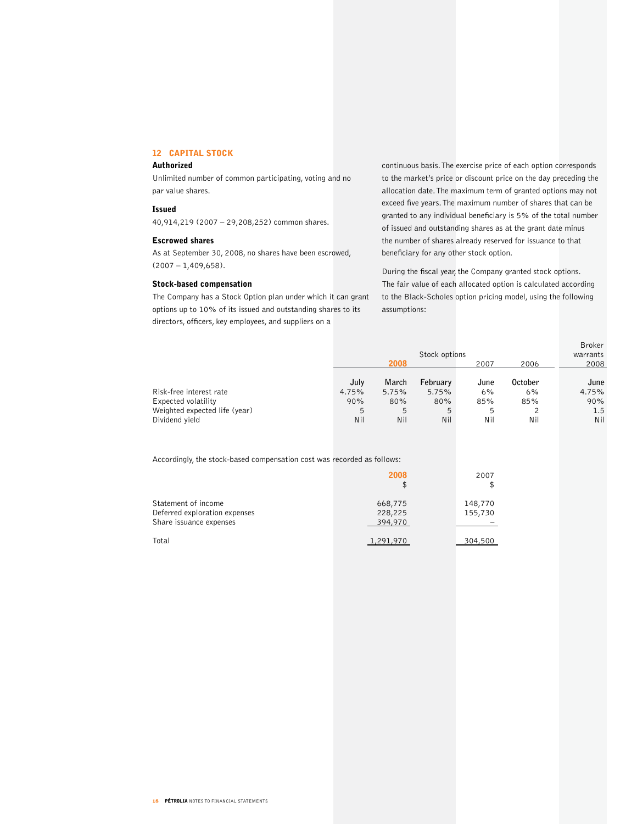#### 12 CAPITAL STOCK

#### Authorized

Unlimited number of common participating, voting and no par value shares.

#### Issued

40,914,219 (2007 – 29,208,252) common shares.

#### Escrowed shares

As at September 30, 2008, no shares have been escrowed,  $(2007 - 1,409,658)$ .

#### Stock-based compensation

The Company has a Stock Option plan under which it can grant options up to 10% of its issued and outstanding shares to its directors, officers, key employees, and suppliers on a

continuous basis. The exercise price of each option corresponds to the market's price or discount price on the day preceding the allocation date. The maximum term of granted options may not exceed five years. The maximum number of shares that can be granted to any individual beneficiary is 5% of the total number of issued and outstanding shares as at the grant date minus the number of shares already reserved for issuance to that beneficiary for any other stock option.

During the fiscal year, the Company granted stock options. The fair value of each allocated option is calculated according to the Black-Scholes option pricing model, using the following assumptions:

|                               |       |       |               |      |                | <b>Broker</b> |
|-------------------------------|-------|-------|---------------|------|----------------|---------------|
|                               |       |       | Stock options |      |                | warrants      |
|                               |       | 2008  |               | 2007 | 2006           | 2008          |
|                               |       |       |               |      |                |               |
|                               | July  | March | February      | June | <b>October</b> | June          |
| Risk-free interest rate       | 4.75% | 5.75% | 5.75%         | 6%   | 6%             | 4.75%         |
| Expected volatility           | 90%   | 80%   | 80%           | 85%  | 85%            | 90%           |
| Weighted expected life (year) | 5     | 5     | 5             | .5   |                | 1.5           |
| Dividend yield                | Nil   | Nil   | Nil           | Nil  | Nil            | Nil           |
|                               |       |       |               |      |                |               |

Accordingly, the stock-based compensation cost was recorded as follows:

|                                                                                 | 2008<br>\$                    | 2007               |
|---------------------------------------------------------------------------------|-------------------------------|--------------------|
| Statement of income<br>Deferred exploration expenses<br>Share issuance expenses | 668,775<br>228,225<br>394,970 | 148,770<br>155,730 |
| Total                                                                           | 1,291,970                     | 304,500            |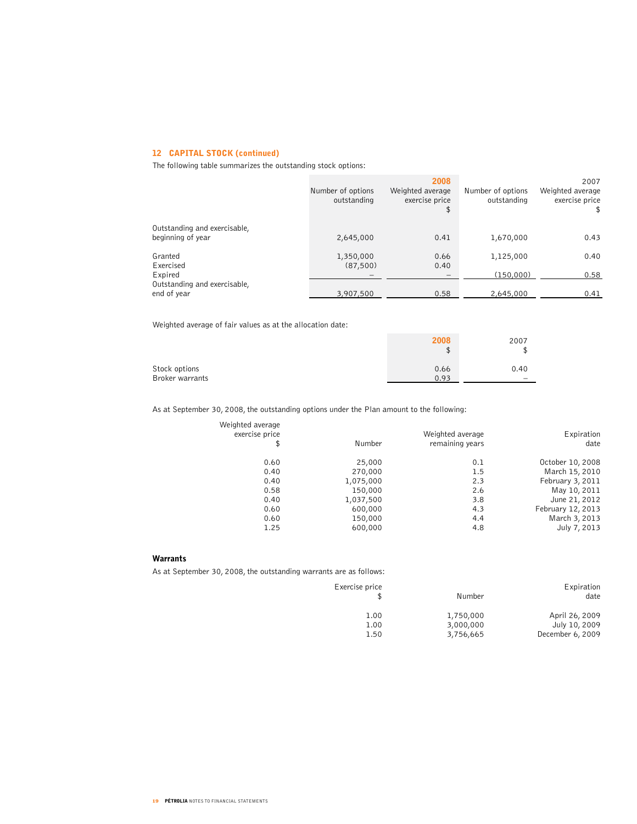#### 12 CAPITAL STOCK (continued)

The following table summarizes the outstanding stock options:

|                                                   | Number of options<br>outstanding | 2008<br>Weighted average<br>exercise price<br>\$ | Number of options<br>outstanding | 2007<br>Weighted average<br>exercise price<br>\$ |
|---------------------------------------------------|----------------------------------|--------------------------------------------------|----------------------------------|--------------------------------------------------|
| Outstanding and exercisable,<br>beginning of year | 2,645,000                        | 0.41                                             | 1,670,000                        | 0.43                                             |
| Granted<br>Exercised                              | 1,350,000<br>(87,500)            | 0.66<br>0.40                                     | 1,125,000                        | 0.40                                             |
| Expired                                           |                                  |                                                  | (150,000)                        | 0.58                                             |
| Outstanding and exercisable,                      |                                  |                                                  |                                  |                                                  |
| end of year                                       | 3,907,500                        | 0.58                                             | 2,645,000                        | 0.41                                             |

Weighted average of fair values as at the allocation date:

|                 | 2008<br>\$ | 2007<br>¢ |
|-----------------|------------|-----------|
| Stock options   | 0.66       | 0.40      |
| Broker warrants | 0.93       | $\equiv$  |

As at September 30, 2008, the outstanding options under the Plan amount to the following:

| Weighted average<br>exercise price<br>\$ | Number    | Weighted average<br>remaining years | Expiration<br>date |
|------------------------------------------|-----------|-------------------------------------|--------------------|
| 0.60                                     | 25,000    | 0.1                                 | October 10, 2008   |
| 0.40                                     | 270,000   | 1.5                                 | March 15, 2010     |
| 0.40                                     | 1,075,000 | 2.3                                 | February 3, 2011   |
| 0.58                                     | 150,000   | 2.6                                 | May 10, 2011       |
| 0.40                                     | 1,037,500 | 3.8                                 | June 21, 2012      |
| 0.60                                     | 600,000   | 4.3                                 | February 12, 2013  |
| 0.60                                     | 150,000   | 4.4                                 | March 3, 2013      |
| 1.25                                     | 600,000   | 4.8                                 | July 7, 2013       |

#### Warrants

As at September 30, 2008, the outstanding warrants are as follows:

| Expiration       |           | Exercise price |
|------------------|-----------|----------------|
| date             | Number    |                |
| April 26, 2009   | 1,750,000 | 1.00           |
| July 10, 2009    | 3,000,000 | 1.00           |
| December 6, 2009 | 3,756,665 | 1.50           |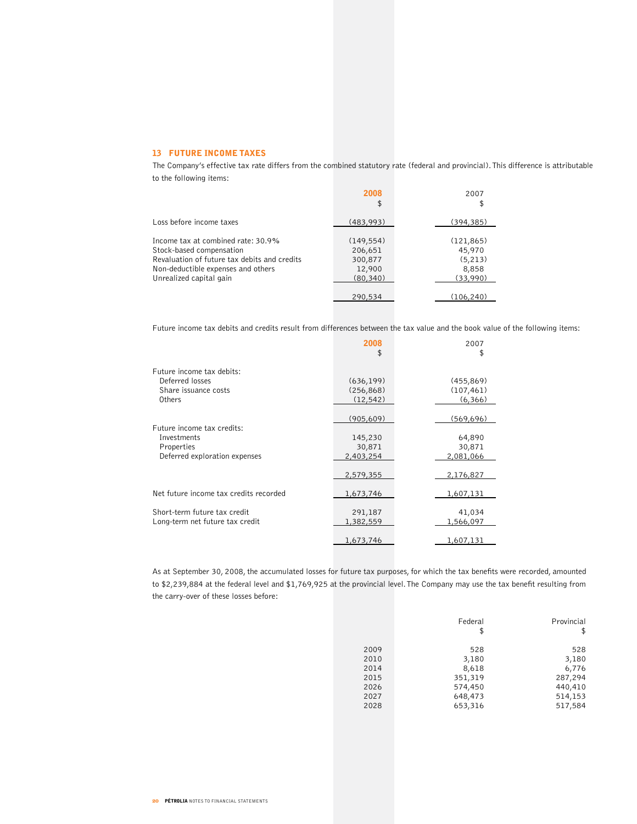#### 13 FUTURE INCOME TAXES

The Company's effective tax rate differs from the combined statutory rate (federal and provincial). This difference is attributable to the following items:

|                                                                                                                                                                                 | 2008<br>\$                                              | 2007<br>\$                                           |
|---------------------------------------------------------------------------------------------------------------------------------------------------------------------------------|---------------------------------------------------------|------------------------------------------------------|
| Loss before income taxes                                                                                                                                                        | (483,993)                                               | (394, 385)                                           |
| Income tax at combined rate: 30.9%<br>Stock-based compensation<br>Revaluation of future tax debits and credits<br>Non-deductible expenses and others<br>Unrealized capital gain | (149, 554)<br>206,651<br>300,877<br>12,900<br>(80, 340) | (121, 865)<br>45,970<br>(5,213)<br>8,858<br>(33,990) |
|                                                                                                                                                                                 | 290,534                                                 | (106, 240)                                           |

Future income tax debits and credits result from differences between the tax value and the book value of the following items:

|                                                                                                 | 2008<br>\$                                  | 2007<br>\$                                 |
|-------------------------------------------------------------------------------------------------|---------------------------------------------|--------------------------------------------|
| Future income tax debits:<br>Deferred losses<br>Share issuance costs<br>Others                  | (636, 199)<br>(256, 868)<br>(12, 542)       | (455, 869)<br>(107, 461)<br>(6, 366)       |
|                                                                                                 | (905, 609)                                  | (569, 696)                                 |
| Future income tax credits:<br><b>Investments</b><br>Properties<br>Deferred exploration expenses | 145,230<br>30,871<br>2,403,254<br>2,579,355 | 64,890<br>30,871<br>2,081,066<br>2,176,827 |
| Net future income tax credits recorded                                                          | 1,673,746                                   | 1,607,131                                  |
| Short-term future tax credit<br>Long-term net future tax credit                                 | 291,187<br>1,382,559                        | 41,034<br>1,566,097                        |
|                                                                                                 | 1,673,746                                   | 1,607,131                                  |

As at September 30, 2008, the accumulated losses for future tax purposes, for which the tax benefits were recorded, amounted to \$2,239,884 at the federal level and \$1,769,925 at the provincial level. The Company may use the tax benefit resulting from the carry-over of these losses before:

|      | Federal<br>\$ | Provincial<br>\$ |
|------|---------------|------------------|
| 2009 | 528           | 528              |
| 2010 | 3,180         | 3,180            |
| 2014 | 8,618         | 6,776            |
| 2015 | 351,319       | 287,294          |
| 2026 | 574,450       | 440,410          |
| 2027 | 648,473       | 514,153          |
| 2028 | 653,316       | 517,584          |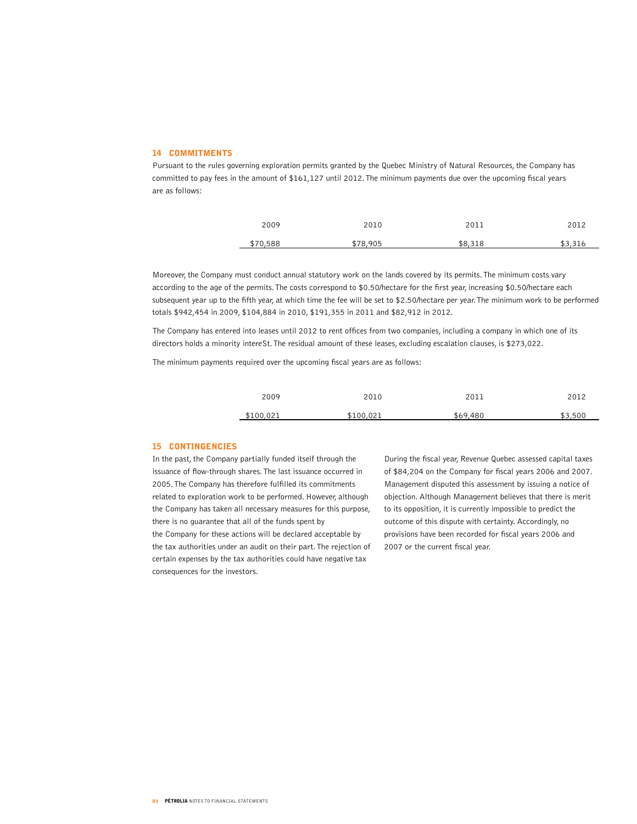#### 14 COMMITMENTS

Pursuant to the rules governing exploration permits granted by the Quebec Ministry of Natural Resources, the Company has committed to pay fees in the amount of \$161,127 until 2012. The minimum payments due over the upcoming fiscal years are as follows:

| 2009     | 2010     | 2011    | 2012    |
|----------|----------|---------|---------|
| \$70,588 | \$78,905 | \$8,318 | \$3,316 |

Moreover, the Company must conduct annual statutory work on the lands covered by its permits. The minimum costs vary according to the age of the permits. The costs correspond to \$0.50/hectare for the first year, increasing \$0.50/hectare each subsequent year up to the fifth year, at which time the fee will be set to \$2.50/hectare per year. The minimum work to be performed totals \$942,454 in 2009, \$104,884 in 2010, \$191,355 in 2011 and \$82,912 in 2012.

The Company has entered into leases until 2012 to rent offices from two companies, including a company in which one of its directors holds a minority intereSt. The residual amount of these leases, excluding escalation clauses, is \$273,022.

The minimum payments required over the upcoming fiscal years are as follows:

| 2009      | 2010      | 2011     | 2012    |
|-----------|-----------|----------|---------|
| \$100,021 | \$100,021 | \$69,480 | \$3,500 |

#### 15 CONTINGENCIES

In the past, the Company partially funded itself through the issuance of flow-through shares. The last issuance occurred in 2005. The Company has therefore fulfilled its commitments related to exploration work to be performed. However, although the Company has taken all necessary measures for this purpose, there is no guarantee that all of the funds spent by the Company for these actions will be declared acceptable by the tax authorities under an audit on their part. The rejection of certain expenses by the tax authorities could have negative tax consequences for the investors.

During the fiscal year, Revenue Quebec assessed capital taxes of \$84,204 on the Company for fiscal years 2006 and 2007. Management disputed this assessment by issuing a notice of objection. Although Management believes that there is merit to its opposition, it is currently impossible to predict the outcome of this dispute with certainty. Accordingly, no provisions have been recorded for fiscal years 2006 and 2007 or the current fiscal year.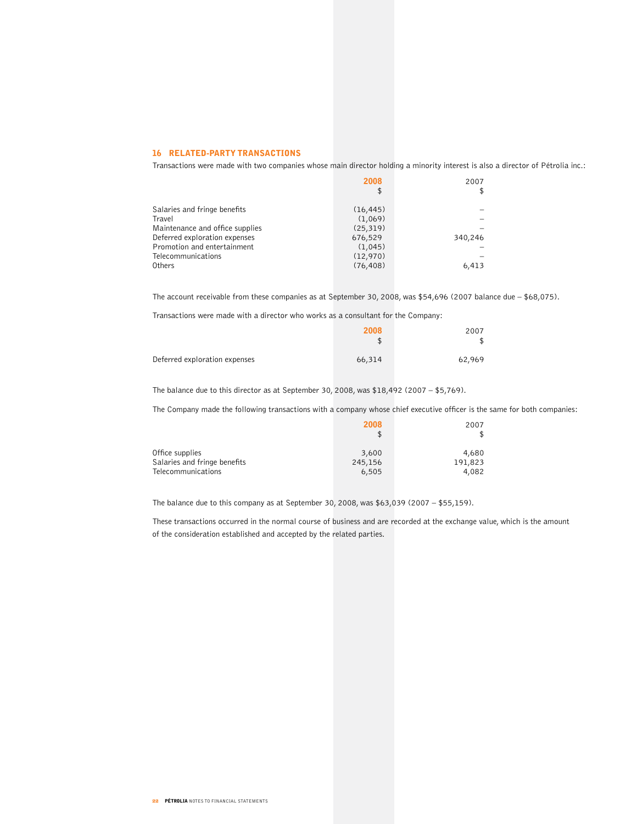#### 16 RELATED-PARTY TRANSACTIONS

Transactions were made with two companies whose main director holding a minority interest is also a director of Pétrolia inc.:

|                                 | 2008<br>\$ | 2007    |
|---------------------------------|------------|---------|
| Salaries and fringe benefits    | (16, 445)  |         |
| Travel                          | (1,069)    |         |
| Maintenance and office supplies | (25, 319)  |         |
| Deferred exploration expenses   | 676,529    | 340,246 |
| Promotion and entertainment     | (1,045)    |         |
| Telecommunications              | (12,970)   |         |
| Others                          | (76, 408)  | 6,413   |

The account receivable from these companies as at September 30, 2008, was \$54,696 (2007 balance due – \$68,075).

Transactions were made with a director who works as a consultant for the Company:

|                               | 2008<br>\$ | 2007   |
|-------------------------------|------------|--------|
| Deferred exploration expenses | 66,314     | 62,969 |

The balance due to this director as at September 30, 2008, was  $$18,492$  (2007 –  $$5,769$ ).

The Company made the following transactions with a company whose chief executive officer is the same for both companies:

|                              | 2008    | 2007    |
|------------------------------|---------|---------|
|                              |         | \$      |
| Office supplies              | 3,600   | 4,680   |
| Salaries and fringe benefits | 245,156 | 191,823 |
| Telecommunications           | 6,505   | 4,082   |

The balance due to this company as at September 30, 2008, was  $$63,039$  (2007 – \$55,159).

These transactions occurred in the normal course of business and are recorded at the exchange value, which is the amount of the consideration established and accepted by the related parties.